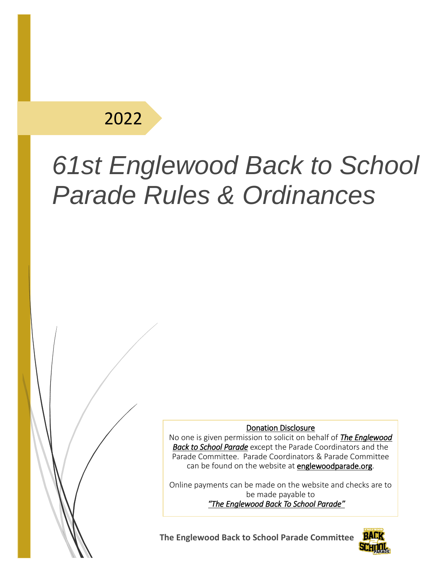## 2022

# *61st Englewood Back to School Parade Rules & Ordinances*

#### Donation Disclosure

No one is given permission to solicit on behalf of *The Englewood Back to School Parade* except the Parade Coordinators and the Parade Committee. Parade Coordinators & Parade Committee can be found on the website at englewoodparade.org.

Online payments can be made on the website and checks are to be made payable to *"The Englewood Back To School Parade"* 

**The Englewood Back to School Parade Committee** 

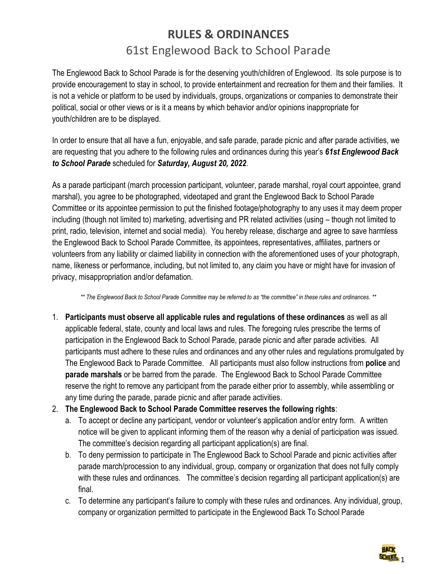The Englewood Back to School Parade is for the deserving youth/children of Englewood. Its sole purpose is to provide encouragement to stay in school, to provide entertainment and recreation for them and their families. It is not a vehicle or platform to be used by individuals, groups, organizations or companies to demonstrate their political, social or other views or is it a means by which behavior and/or opinions inappropriate for youth/children are to be displayed.

In order to ensure that all have a fun, enjoyable, and safe parade, parade picnic and after parade activities, we are requesting that you adhere to the following rules and ordinances during this year's *61st Englewood Back to School Parade* scheduled for *Saturday, August 20, 2022*.

As a parade participant (march procession participant, volunteer, parade marshal, royal court appointee, grand marshal), you agree to be photographed, videotaped and grant the Englewood Back to School Parade Committee or its appointee permission to put the finished footage/photography to any uses it may deem proper including (though not limited to) marketing, advertising and PR related activities (using – though not limited to print, radio, television, internet and social media). You hereby release, discharge and agree to save harmless the Englewood Back to School Parade Committee, its appointees, representatives, affiliates, partners or volunteers from any liability or claimed liability in connection with the aforementioned uses of your photograph, name, likeness or performance, including, but not limited to, any claim you have or might have for invasion of privacy, misappropriation and/or defamation.

*\*\* The Englewood Back to School Parade Committee may be referred to as "the committee" in these rules and ordinances. \*\**

- 1. **Participants must observe all applicable rules and regulations of these ordinances** as well as all applicable federal, state, county and local laws and rules. The foregoing rules prescribe the terms of participation in the Englewood Back to School Parade, parade picnic and after parade activities. All participants must adhere to these rules and ordinances and any other rules and regulations promulgated by The Englewood Back to Parade Committee. All participants must also follow instructions from **police** and **parade marshals** or be barred from the parade. The Englewood Back to School Parade Committee reserve the right to remove any participant from the parade either prior to assembly, while assembling or any time during the parade, parade picnic and after parade activities.
- 2. **The Englewood Back to School Parade Committee reserves the following rights**:
	- a. To accept or decline any participant, vendor or volunteer's application and/or entry form. A written notice will be given to applicant informing them of the reason why a denial of participation was issued. The committee's decision regarding all participant application(s) are final.
	- b. To deny permission to participate in The Englewood Back to School Parade and picnic activities after parade march/procession to any individual, group, company or organization that does not fully comply with these rules and ordinances. The committee's decision regarding all participant application(s) are final.
	- c. To determine any participant's failure to comply with these rules and ordinances. Any individual, group, company or organization permitted to participate in the Englewood Back To School Parade

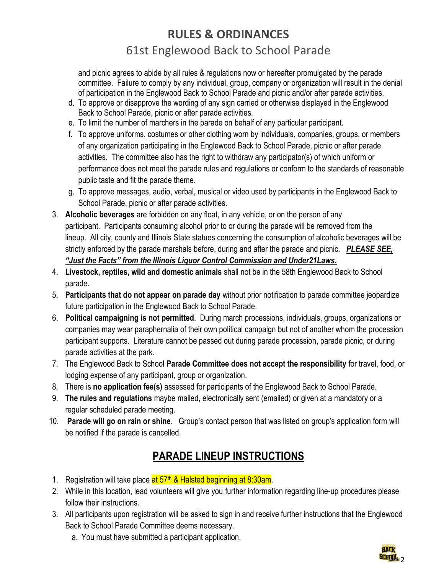and picnic agrees to abide by all rules & regulations now or hereafter promulgated by the parade committee. Failure to comply by any individual, group, company or organization will result in the denial of participation in the Englewood Back to School Parade and picnic and/or after parade activities.

- d. To approve or disapprove the wording of any sign carried or otherwise displayed in the Englewood Back to School Parade, picnic or after parade activities.
- e. To limit the number of marchers in the parade on behalf of any particular participant.
- f. To approve uniforms, costumes or other clothing worn by individuals, companies, groups, or members of any organization participating in the Englewood Back to School Parade, picnic or after parade activities. The committee also has the right to withdraw any participator(s) of which uniform or performance does not meet the parade rules and regulations or conform to the standards of reasonable public taste and fit the parade theme.
- g. To approve messages, audio, verbal, musical or video used by participants in the Englewood Back to School Parade, picnic or after parade activities.
- 3. **Alcoholic beverages** are forbidden on any float, in any vehicle, or on the person of any participant. Participants consuming alcohol prior to or during the parade will be removed from the lineup. All city, county and Illinois State statues concerning the consumption of alcoholic beverages will be strictly enforced by the parade marshals before, during and after the parade and picnic. *PLEASE SEE, "Just the Facts" from the Illinois Liquor Control Commission and Under21Laws.*
- 4. **Livestock, reptiles, wild and domestic animals** shall not be in the 58th Englewood Back to School parade.
- 5. **Participants that do not appear on parade day** without prior notification to parade committee jeopardize future participation in the Englewood Back to School Parade.
- 6. **Political campaigning is not permitted**. During march processions, individuals, groups, organizations or companies may wear paraphernalia of their own political campaign but not of another whom the procession participant supports. Literature cannot be passed out during parade procession, parade picnic, or during parade activities at the park.
- 7. The Englewood Back to School **Parade Committee does not accept the responsibility** for travel, food, or lodging expense of any participant, group or organization.
- 8. There is **no application fee(s)** assessed for participants of the Englewood Back to School Parade.
- 9. **The rules and regulations** maybe mailed, electronically sent (emailed) or given at a mandatory or a regular scheduled parade meeting.
- 10. **Parade will go on rain or shine**. Group's contact person that was listed on group's application form will be notified if the parade is cancelled.

#### **PARADE LINEUP INSTRUCTIONS**

- 1. Registration will take place at 57<sup>th</sup> & Halsted beginning at 8:30am.
- 2. While in this location, lead volunteers will give you further information regarding line-up procedures please follow their instructions.
- 3. All participants upon registration will be asked to sign in and receive further instructions that the Englewood Back to School Parade Committee deems necessary.
	- a. You must have submitted a participant application.

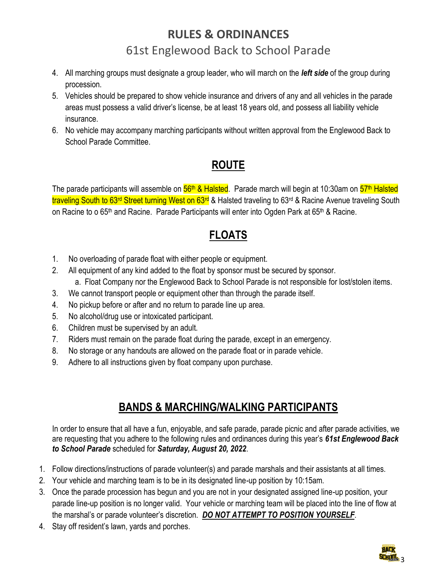- 4. All marching groups must designate a group leader, who will march on the *left side* of the group during procession.
- 5. Vehicles should be prepared to show vehicle insurance and drivers of any and all vehicles in the parade areas must possess a valid driver's license, be at least 18 years old, and possess all liability vehicle insurance.
- 6. No vehicle may accompany marching participants without written approval from the Englewood Back to School Parade Committee.

#### **ROUTE**

The parade participants will assemble on 56<sup>th</sup> & Halsted. Parade march will begin at 10:30am on 57<sup>th</sup> Halsted traveling South to 63<sup>rd</sup> Street turning West on 63<sup>rd</sup> & Halsted traveling to 63<sup>rd</sup> & Racine Avenue traveling South on Racine to o 65<sup>th</sup> and Racine. Parade Participants will enter into Ogden Park at 65<sup>th</sup> & Racine.

#### **FLOATS**

- 1. No overloading of parade float with either people or equipment.
- 2. All equipment of any kind added to the float by sponsor must be secured by sponsor. a. Float Company nor the Englewood Back to School Parade is not responsible for lost/stolen items.
- 3. We cannot transport people or equipment other than through the parade itself.
- 4. No pickup before or after and no return to parade line up area.
- 5. No alcohol/drug use or intoxicated participant.
- 6. Children must be supervised by an adult.
- 7. Riders must remain on the parade float during the parade, except in an emergency.
- 8. No storage or any handouts are allowed on the parade float or in parade vehicle.
- 9. Adhere to all instructions given by float company upon purchase.

#### **BANDS & MARCHING/WALKING PARTICIPANTS**

In order to ensure that all have a fun, enjoyable, and safe parade, parade picnic and after parade activities, we are requesting that you adhere to the following rules and ordinances during this year's *61st Englewood Back to School Parade* scheduled for *Saturday, August 20, 2022*.

- 1. Follow directions/instructions of parade volunteer(s) and parade marshals and their assistants at all times.
- 2. Your vehicle and marching team is to be in its designated line-up position by 10:15am.
- 3. Once the parade procession has begun and you are not in your designated assigned line-up position, your parade line-up position is no longer valid. Your vehicle or marching team will be placed into the line of flow at the marshal's or parade volunteer's discretion. *DO NOT ATTEMPT TO POSITION YOURSELF*.
- 4. Stay off resident's lawn, yards and porches.